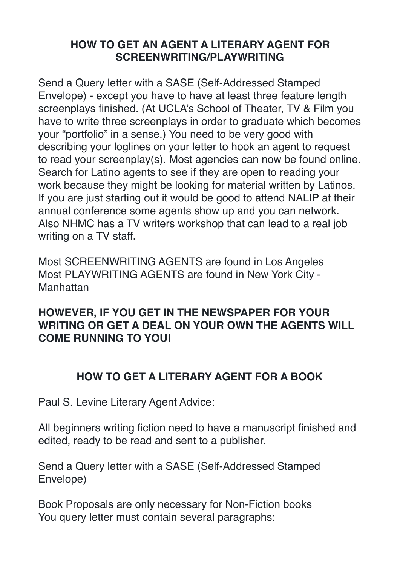## **HOW TO GET AN AGENT A LITERARY AGENT FOR SCREENWRITING/PLAYWRITING**

Send a Query letter with a SASE (Self-Addressed Stamped Envelope) - except you have to have at least three feature length screenplays finished. (At UCLA's School of Theater, TV & Film you have to write three screenplays in order to graduate which becomes your "portfolio" in a sense.) You need to be very good with describing your loglines on your letter to hook an agent to request to read your screenplay(s). Most agencies can now be found online. Search for Latino agents to see if they are open to reading your work because they might be looking for material written by Latinos. If you are just starting out it would be good to attend NALIP at their annual conference some agents show up and you can network. Also NHMC has a TV writers workshop that can lead to a real job writing on a TV staff.

Most SCREENWRITING AGENTS are found in Los Angeles Most PLAYWRITING AGENTS are found in New York City - Manhattan

## **HOWEVER, IF YOU GET IN THE NEWSPAPER FOR YOUR WRITING OR GET A DEAL ON YOUR OWN THE AGENTS WILL COME RUNNING TO YOU!**

## **HOW TO GET A LITERARY AGENT FOR A BOOK**

Paul S. Levine Literary Agent Advice:

All beginners writing fiction need to have a manuscript finished and edited, ready to be read and sent to a publisher.

Send a Query letter with a SASE (Self-Addressed Stamped Envelope)

Book Proposals are only necessary for Non-Fiction books You query letter must contain several paragraphs: